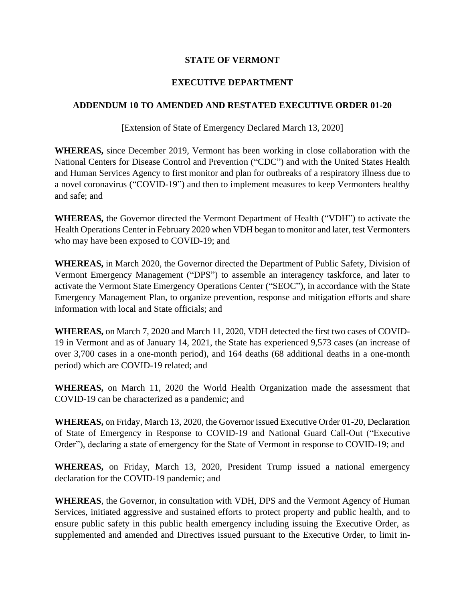## **STATE OF VERMONT**

## **EXECUTIVE DEPARTMENT**

## **ADDENDUM 10 TO AMENDED AND RESTATED EXECUTIVE ORDER 01-20**

[Extension of State of Emergency Declared March 13, 2020]

**WHEREAS,** since December 2019, Vermont has been working in close collaboration with the National Centers for Disease Control and Prevention ("CDC") and with the United States Health and Human Services Agency to first monitor and plan for outbreaks of a respiratory illness due to a novel coronavirus ("COVID-19") and then to implement measures to keep Vermonters healthy and safe; and

**WHEREAS,** the Governor directed the Vermont Department of Health ("VDH") to activate the Health Operations Center in February 2020 when VDH began to monitor and later, test Vermonters who may have been exposed to COVID-19; and

**WHEREAS,** in March 2020, the Governor directed the Department of Public Safety, Division of Vermont Emergency Management ("DPS") to assemble an interagency taskforce, and later to activate the Vermont State Emergency Operations Center ("SEOC"), in accordance with the State Emergency Management Plan, to organize prevention, response and mitigation efforts and share information with local and State officials; and

**WHEREAS,** on March 7, 2020 and March 11, 2020, VDH detected the first two cases of COVID-19 in Vermont and as of January 14, 2021, the State has experienced 9,573 cases (an increase of over 3,700 cases in a one-month period), and 164 deaths (68 additional deaths in a one-month period) which are COVID-19 related; and

**WHEREAS,** on March 11, 2020 the World Health Organization made the assessment that COVID-19 can be characterized as a pandemic; and

**WHEREAS,** on Friday, March 13, 2020, the Governor issued Executive Order 01-20, Declaration of State of Emergency in Response to COVID-19 and National Guard Call-Out ("Executive Order"), declaring a state of emergency for the State of Vermont in response to COVID-19; and

**WHEREAS,** on Friday, March 13, 2020, President Trump issued a national emergency declaration for the COVID-19 pandemic; and

**WHEREAS**, the Governor, in consultation with VDH, DPS and the Vermont Agency of Human Services, initiated aggressive and sustained efforts to protect property and public health, and to ensure public safety in this public health emergency including issuing the Executive Order, as supplemented and amended and Directives issued pursuant to the Executive Order, to limit in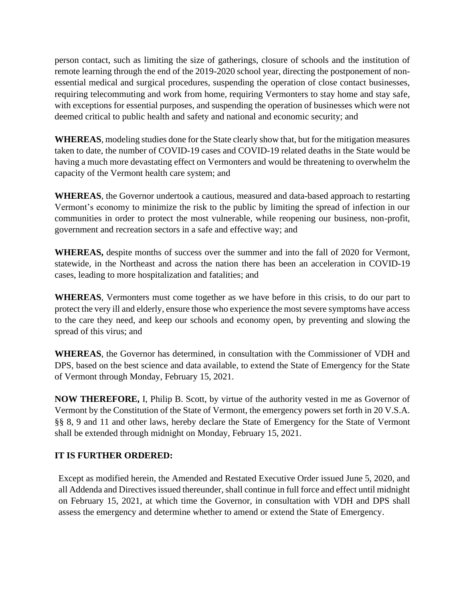person contact, such as limiting the size of gatherings, closure of schools and the institution of remote learning through the end of the 2019-2020 school year, directing the postponement of nonessential medical and surgical procedures, suspending the operation of close contact businesses, requiring telecommuting and work from home, requiring Vermonters to stay home and stay safe, with exceptions for essential purposes, and suspending the operation of businesses which were not deemed critical to public health and safety and national and economic security; and

**WHEREAS**, modeling studies done for the State clearly show that, but for the mitigation measures taken to date, the number of COVID-19 cases and COVID-19 related deaths in the State would be having a much more devastating effect on Vermonters and would be threatening to overwhelm the capacity of the Vermont health care system; and

**WHEREAS**, the Governor undertook a cautious, measured and data-based approach to restarting Vermont's economy to minimize the risk to the public by limiting the spread of infection in our communities in order to protect the most vulnerable, while reopening our business, non-profit, government and recreation sectors in a safe and effective way; and

**WHEREAS,** despite months of success over the summer and into the fall of 2020 for Vermont, statewide, in the Northeast and across the nation there has been an acceleration in COVID-19 cases, leading to more hospitalization and fatalities; and

**WHEREAS**, Vermonters must come together as we have before in this crisis, to do our part to protect the very ill and elderly, ensure those who experience the most severe symptoms have access to the care they need, and keep our schools and economy open, by preventing and slowing the spread of this virus; and

**WHEREAS**, the Governor has determined, in consultation with the Commissioner of VDH and DPS, based on the best science and data available, to extend the State of Emergency for the State of Vermont through Monday, February 15, 2021.

**NOW THEREFORE,** I, Philip B. Scott, by virtue of the authority vested in me as Governor of Vermont by the Constitution of the State of Vermont, the emergency powers set forth in 20 V.S.A. §§ 8, 9 and 11 and other laws, hereby declare the State of Emergency for the State of Vermont shall be extended through midnight on Monday, February 15, 2021.

## **IT IS FURTHER ORDERED:**

Except as modified herein, the Amended and Restated Executive Order issued June 5, 2020, and all Addenda and Directives issued thereunder, shall continue in full force and effect until midnight on February 15, 2021, at which time the Governor, in consultation with VDH and DPS shall assess the emergency and determine whether to amend or extend the State of Emergency.